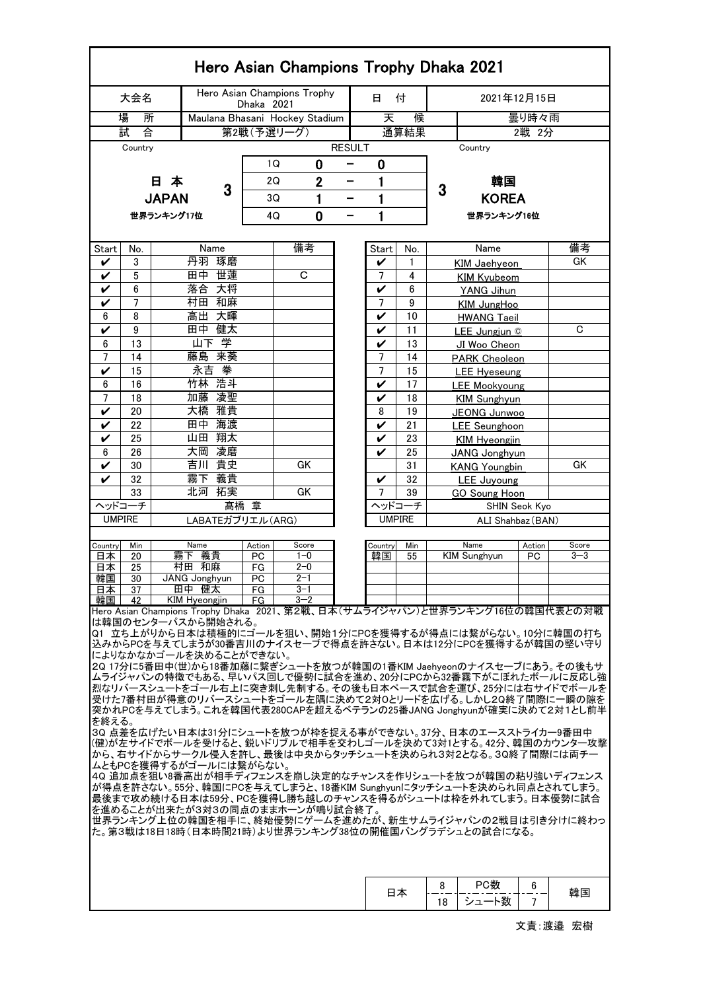| Hero Asian Champions Trophy Dhaka 2021                                                                                |          |                  |                        |                        |                      |                                 |               |                         |          |                      |                                                                                                                                 |               |          |  |  |
|-----------------------------------------------------------------------------------------------------------------------|----------|------------------|------------------------|------------------------|----------------------|---------------------------------|---------------|-------------------------|----------|----------------------|---------------------------------------------------------------------------------------------------------------------------------|---------------|----------|--|--|
|                                                                                                                       | 大会名      |                  |                        |                        | Dhaka 2021           | Hero Asian Champions Trophy     |               | 8                       | 付        | 2021年12月15日          |                                                                                                                                 |               |          |  |  |
| 場<br>所                                                                                                                |          |                  |                        |                        |                      | Maulana Bhasani Hockey Stadium  |               | 天                       | 候        |                      |                                                                                                                                 | 曇り時々雨         |          |  |  |
|                                                                                                                       | 試<br>合   |                  |                        |                        |                      | 第2戦(予選リーグ)                      |               |                         | 通算結果     |                      |                                                                                                                                 | 2戦 2分         |          |  |  |
|                                                                                                                       | Country  |                  |                        |                        |                      |                                 | <b>RESULT</b> |                         |          | Country              |                                                                                                                                 |               |          |  |  |
|                                                                                                                       |          |                  |                        |                        |                      | 0<br>1Q                         | -             | 0                       |          |                      |                                                                                                                                 |               |          |  |  |
|                                                                                                                       |          | 日本               |                        |                        | $\overline{2}$<br>2Q |                                 |               | 1<br>—                  |          | 韓国<br>3              |                                                                                                                                 |               |          |  |  |
|                                                                                                                       |          | <b>JAPAN</b>     | 3                      |                        |                      | 1<br>3Q<br>-                    |               |                         | 1        |                      | <b>KOREA</b>                                                                                                                    |               |          |  |  |
|                                                                                                                       |          | 世界ランキング17位       |                        |                        |                      | 0<br>4Q                         | -             | 1                       |          |                      | 世界ランキング16位                                                                                                                      |               |          |  |  |
|                                                                                                                       |          |                  |                        |                        |                      |                                 |               |                         |          |                      |                                                                                                                                 |               |          |  |  |
| Start                                                                                                                 | No.      |                  |                        | Name                   |                      | 備考                              |               | Start                   | No.      |                      | Name                                                                                                                            |               | 備考       |  |  |
| V                                                                                                                     | 3        | 丹羽<br>琢磨         |                        |                        |                      |                                 |               |                         | 1        |                      | <b>KIM Jaehyeon</b>                                                                                                             | GK            |          |  |  |
| V                                                                                                                     | 5        |                  |                        | 田中 世蓮                  |                      | C                               |               | 7                       | 4        |                      | <b>KIM Kyubeom</b>                                                                                                              |               |          |  |  |
| V                                                                                                                     | 6        |                  | 落合                     | 大将                     |                      |                                 |               | V                       | 6        |                      | YANG Jihun                                                                                                                      |               |          |  |  |
| V                                                                                                                     | 7        |                  |                        | 村田 和麻                  |                      |                                 |               | 7                       | 9        |                      | KIM JungHoo                                                                                                                     |               |          |  |  |
| 6                                                                                                                     | 8        |                  | 高出                     | 大暉                     |                      |                                 |               | V                       | 10       |                      | <b>HWANG Taeil</b>                                                                                                              |               |          |  |  |
| V                                                                                                                     | 9        | 健太<br>田中<br>山下 学 |                        |                        |                      |                                 |               | V                       | 11       | LEE Jungiun ©        |                                                                                                                                 |               | C        |  |  |
| 6<br>7                                                                                                                | 13<br>14 |                  | 藤島                     | 来葵                     |                      |                                 |               | V<br>7                  | 13       |                      | JI Woo Cheon                                                                                                                    |               |          |  |  |
| V                                                                                                                     | 15       |                  |                        | 永吉拳                    |                      |                                 |               | 7                       | 14<br>15 |                      | <b>PARK Cheoleon</b>                                                                                                            |               |          |  |  |
| 6                                                                                                                     | 16       |                  |                        | 竹林 浩斗                  |                      |                                 |               | V                       | 17       |                      | LEE Hyeseung<br><b>LEE Mookyoung</b>                                                                                            |               |          |  |  |
| 7                                                                                                                     | 18       |                  | 加藤                     | 凌聖                     |                      |                                 |               | V                       | 18       |                      | <b>KIM Sunghyun</b>                                                                                                             |               |          |  |  |
| V                                                                                                                     | 20       |                  | 大橋                     | 雅貴                     |                      |                                 |               | 8                       | 19       |                      | JEONG Junwoo                                                                                                                    |               |          |  |  |
| V                                                                                                                     | 22       |                  | 田中                     | 海渡                     |                      |                                 |               | V                       | 21       |                      | <b>LEE</b> Seunghoon                                                                                                            |               |          |  |  |
| V                                                                                                                     | 25       | 翔太<br>山田         |                        |                        |                      |                                 |               | V                       | 23       | <b>KIM Hyeongjin</b> |                                                                                                                                 |               |          |  |  |
| 6                                                                                                                     | 26       |                  | 大岡                     | 凌磨                     |                      |                                 |               | V                       | 25       |                      | JANG Jonghyun                                                                                                                   |               |          |  |  |
| $\checkmark$                                                                                                          | 30       |                  | 吉川                     | 貴史                     | GK                   |                                 |               |                         | 31       | <b>KANG Youngbin</b> |                                                                                                                                 |               | GK       |  |  |
| V                                                                                                                     | 32       |                  | 霧下                     | 義貴                     |                      |                                 |               | V                       | 32       |                      | <b>LEE Juyoung</b>                                                                                                              |               |          |  |  |
|                                                                                                                       | 33       |                  | 北河                     | 拓実                     |                      | GK                              |               | 7                       | 39       |                      | <b>GO Soung Hoon</b>                                                                                                            | SHIN Seok Kyo |          |  |  |
| ヘッドコーチ                                                                                                                |          |                  |                        | 髙橋 章                   |                      |                                 |               | ヘッドコーチ<br><b>UMPIRE</b> |          |                      |                                                                                                                                 |               |          |  |  |
| <b>UMPIRE</b>                                                                                                         |          |                  |                        | LABATEガブリエル (ARG)      |                      |                                 |               |                         |          |                      | ALI Shahbaz (BAN)                                                                                                               |               |          |  |  |
| Country                                                                                                               | Min      |                  | Name                   |                        | Action               | Score                           |               | Country                 | Min      |                      | Name                                                                                                                            | Action        | Score    |  |  |
| 日本                                                                                                                    | 20       |                  | 霧下<br>義貴               |                        | PC                   | $1 - 0$                         |               | 韓国                      | 55       |                      | <b>KIM Sunghvun</b>                                                                                                             | <b>PC</b>     | $3 - 3$  |  |  |
| 日本<br>韓国                                                                                                              | 25<br>30 |                  | 村田 和麻<br>JANG Jonghyun |                        | FG<br>PC             | $2 - 0$<br>$2 - 1$              |               |                         |          |                      |                                                                                                                                 |               |          |  |  |
| 日本丨                                                                                                                   | -37      |                  | 田中 健太                  |                        | FG                   | $3 - 1$                         |               |                         |          |                      |                                                                                                                                 |               |          |  |  |
| 韓国                                                                                                                    | 42       |                  | KIM Hyeongjin          |                        | FG.                  | $3 - 2$                         |               |                         |          |                      |                                                                                                                                 |               |          |  |  |
|                                                                                                                       |          |                  |                        |                        |                      |                                 |               |                         |          |                      | Hero Asian Champions Trophy Dhaka 2021、第2戦、日本(サムライジャパン)と世界ランキング16位の韓国代表との対戦                                                     |               |          |  |  |
| は韓国のセンターパスから開始される。<br>Q1 立ち上がりから日本は積極的にゴールを狙い、開始1分にPCを獲得するが得点には繋がらない。10分に韓国の打ち                                        |          |                  |                        |                        |                      |                                 |               |                         |          |                      |                                                                                                                                 |               |          |  |  |
| 込みからPCを与えてしまうが30番吉川のナイスセーブで得点を許さない。日本は12分にPCを獲得するが韓国の堅い守り<br>によりなかなかゴールを決めることができない。                                   |          |                  |                        |                        |                      |                                 |               |                         |          |                      |                                                                                                                                 |               |          |  |  |
|                                                                                                                       |          |                  |                        |                        |                      |                                 |               |                         |          |                      | 2Q 17分に5番田中(世)から18番加藤に繋ぎシュートを放つが韓国の1番KIM Jaehyeonのナイスセーブにあう。その後もサ                                                               |               |          |  |  |
| ムライジャパンの特徴でもある、早いパス回しで優勢に試合を進め、20分にPCから32番霧下がこぼれたボールに反応し強<br>烈なリバースシュートをゴール右上に突き刺し先制する。その後も日本ペースで試合を運び、25分には右サイドでボールを |          |                  |                        |                        |                      |                                 |               |                         |          |                      |                                                                                                                                 |               |          |  |  |
|                                                                                                                       |          |                  |                        |                        |                      |                                 |               |                         |          |                      | 受けた7番村田が得意のリバースシュートをゴール左隅に決めて2対0とリードを広げる。しかし20終了間際に一瞬の隙を                                                                        |               |          |  |  |
|                                                                                                                       |          |                  |                        |                        |                      |                                 |               |                         |          |                      | 突かれPCを与えてしまう。これを韓国代表280CAPを超えるベテランの25番JANG Jonghyunが確実に決めて2対1とし前半                                                               |               |          |  |  |
| を終える。                                                                                                                 |          |                  |                        |                        |                      |                                 |               |                         |          |                      | 30 点差を広げたい日本は31分にシュートを放つが枠を捉える事ができない。37分、日本のエースストライカー9番田中                                                                       |               |          |  |  |
|                                                                                                                       |          |                  |                        |                        |                      |                                 |               |                         |          |                      | (健)が左サイドでボールを受けると、鋭いドリブルで相手を交わしゴールを決めて3対1とする。42分、韓国のカウンター攻撃                                                                     |               |          |  |  |
|                                                                                                                       |          |                  |                        |                        |                      |                                 |               |                         |          |                      | から、右サイドからサークル侵入を許し、最後は中央からタッチシュートを決められ3対2となる。30終了間際には両チー                                                                        |               |          |  |  |
|                                                                                                                       |          |                  |                        | ムともPCを獲得するがゴールには繋がらない。 |                      |                                 |               |                         |          |                      |                                                                                                                                 |               |          |  |  |
|                                                                                                                       |          |                  |                        |                        |                      |                                 |               |                         |          |                      | 4Q 追加点を狙い8番高出が相手ディフェンスを崩し決定的なチャンスを作りシュートを放つが韓国の粘り強いディフェンス<br> が得点を許さない。55分、韓国にPCを与えてしまうと、18番KIM Sunghyunにタッチシュートを決められ同点とされてしまう。 |               |          |  |  |
|                                                                                                                       |          |                  |                        |                        |                      |                                 |               |                         |          |                      | 最後まで攻め続ける日本は59分、PCを獲得し勝ち越しのチャンスを得るがシュートは枠を外れてしまう。日本優勢に試合                                                                        |               |          |  |  |
|                                                                                                                       |          |                  |                        |                        |                      | を進めることが出来たが3対3の同点のままホーンが鳴り試合終了。 |               |                         |          |                      |                                                                                                                                 |               |          |  |  |
| 世界ランキング上位の韓国を相手に、終始優勢にゲームを進めたが、新生サムライジャパンの2戦目は引き分けに終わっ<br> た。第3戦は18日18時(日本時間21時)より世界ランキング38位の開催国バングラデシュとの試合になる。       |          |                  |                        |                        |                      |                                 |               |                         |          |                      |                                                                                                                                 |               |          |  |  |
|                                                                                                                       |          |                  |                        |                        |                      |                                 |               |                         |          |                      |                                                                                                                                 |               |          |  |  |
|                                                                                                                       |          |                  |                        |                        |                      |                                 |               |                         |          |                      |                                                                                                                                 |               |          |  |  |
|                                                                                                                       |          |                  |                        |                        |                      |                                 |               |                         |          |                      |                                                                                                                                 |               |          |  |  |
|                                                                                                                       |          |                  |                        |                        |                      |                                 |               |                         | 日本       | 8                    | PC数                                                                                                                             | 6             | 韓国       |  |  |
|                                                                                                                       |          |                  |                        |                        |                      |                                 |               |                         |          | 18                   | シュート数                                                                                                                           | 7             |          |  |  |
|                                                                                                                       |          |                  |                        |                        |                      |                                 |               |                         |          |                      |                                                                                                                                 |               | 文責:渡邉 宏樹 |  |  |

Ī